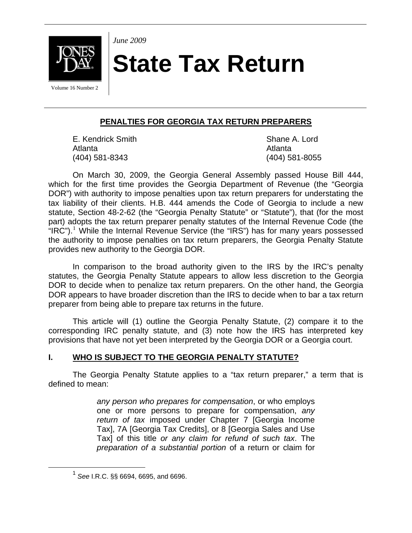

**State Tax Return** 

**PENALTIES FOR GEORGIA TAX RETURN PREPARERS**

E. Kendrick Smith Shane A. Lord Atlanta **Atlanta** Atlanta a semi-management and a semi-management and a semi-management and a semi-management and a (404) 581-8343 (404) 581-8055

*June 2009* 

On March 30, 2009, the Georgia General Assembly passed House Bill 444, which for the first time provides the Georgia Department of Revenue (the "Georgia DOR") with authority to impose penalties upon tax return preparers for understating the tax liability of their clients. H.B. 444 amends the Code of Georgia to include a new statute, Section 48-2-62 (the "Georgia Penalty Statute" or "Statute"), that (for the most part) adopts the tax return preparer penalty statutes of the Internal Revenue Code (the "IRC").<sup>[1](#page-0-0)</sup> While the Internal Revenue Service (the "IRS") has for many years possessed the authority to impose penalties on tax return preparers, the Georgia Penalty Statute provides new authority to the Georgia DOR.

In comparison to the broad authority given to the IRS by the IRC's penalty statutes, the Georgia Penalty Statute appears to allow less discretion to the Georgia DOR to decide when to penalize tax return preparers. On the other hand, the Georgia DOR appears to have broader discretion than the IRS to decide when to bar a tax return preparer from being able to prepare tax returns in the future.

This article will (1) outline the Georgia Penalty Statute, (2) compare it to the corresponding IRC penalty statute, and (3) note how the IRS has interpreted key provisions that have not yet been interpreted by the Georgia DOR or a Georgia court.

# **I. WHO IS SUBJECT TO THE GEORGIA PENALTY STATUTE?**

The Georgia Penalty Statute applies to a "tax return preparer," a term that is defined to mean:

> *any person who prepares for compensation*, or who employs one or more persons to prepare for compensation, *any return of tax* imposed under Chapter 7 [Georgia Income Tax], 7A [Georgia Tax Credits], or 8 [Georgia Sales and Use Tax] of this title *or any claim for refund of such tax*. The *preparation of a substantial portion* of a return or claim for

<span id="page-0-0"></span><sup>1</sup> *See* I.R.C. §§ 6694, 6695, and 6696.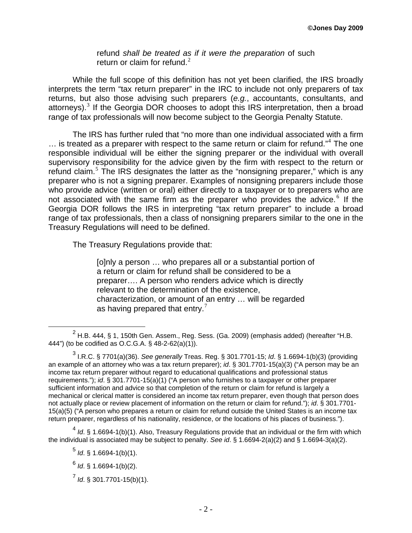refund *shall be treated as if it were the preparation* of such return or claim for refund.<sup>[2](#page-1-0)</sup>

While the full scope of this definition has not yet been clarified, the IRS broadly interprets the term "tax return preparer" in the IRC to include not only preparers of tax returns, but also those advising such preparers (*e.g.*, accountants, consultants, and attorneys).<sup>[3](#page-1-1)</sup> If the Georgia DOR chooses to adopt this IRS interpretation, then a broad range of tax professionals will now become subject to the Georgia Penalty Statute.

The IRS has further ruled that "no more than one individual associated with a firm  $\ldots$  is treated as a preparer with respect to the same return or claim for refund."<sup>[4](#page-1-2)</sup> The one responsible individual will be either the signing preparer or the individual with overall supervisory responsibility for the advice given by the firm with respect to the return or refund claim.<sup>[5](#page-1-3)</sup> The IRS designates the latter as the "nonsigning preparer," which is any preparer who is not a signing preparer. Examples of nonsigning preparers include those who provide advice (written or oral) either directly to a taxpayer or to preparers who are not associated with the same firm as the preparer who provides the advice.<sup>[6](#page-1-4)</sup> If the Georgia DOR follows the IRS in interpreting "tax return preparer" to include a broad range of tax professionals, then a class of nonsigning preparers similar to the one in the Treasury Regulations will need to be defined.

The Treasury Regulations provide that:

[o]nly a person … who prepares all or a substantial portion of a return or claim for refund shall be considered to be a preparer…. A person who renders advice which is directly relevant to the determination of the existence, characterization, or amount of an entry … will be regarded as having prepared that entry.<sup>[7](#page-1-5)</sup>

<span id="page-1-5"></span><span id="page-1-4"></span><span id="page-1-3"></span><span id="page-1-2"></span><sup>4</sup> *Id*. § 1.6694-1(b)(1). Also, Treasury Regulations provide that an individual or the firm with which the individual is associated may be subject to penalty. *See id*. § 1.6694-2(a)(2) and § 1.6694-3(a)(2).

<span id="page-1-0"></span> $\frac{1}{2}$  $2$  H.B. 444, § 1, 150th Gen. Assem., Reg. Sess. (Ga. 2009) (emphasis added) (hereafter "H.B. 444") (to be codified as O.C.G.A. § 48-2-62(a)(1)).

<span id="page-1-1"></span><sup>3</sup> I.R.C. § 7701(a)(36). *See generally* Treas. Reg. § 301.7701-15; *Id*. § 1.6694-1(b)(3) (providing an example of an attorney who was a tax return preparer); *id*. § 301.7701-15(a)(3) ("A person may be an income tax return preparer without regard to educational qualifications and professional status requirements."); *id*. § 301.7701-15(a)(1) ("A person who furnishes to a taxpayer or other preparer sufficient information and advice so that completion of the return or claim for refund is largely a mechanical or clerical matter is considered an income tax return preparer, even though that person does not actually place or review placement of information on the return or claim for refund."); *id*. § 301.7701- 15(a)(5) ("A person who prepares a return or claim for refund outside the United States is an income tax return preparer, regardless of his nationality, residence, or the locations of his places of business.").

 $<sup>5</sup>$  *Id.* § 1.6694-1(b)(1).</sup>

<sup>6</sup> *Id*. § 1.6694-1(b)(2).

<sup>7</sup> *Id*. § 301.7701-15(b)(1).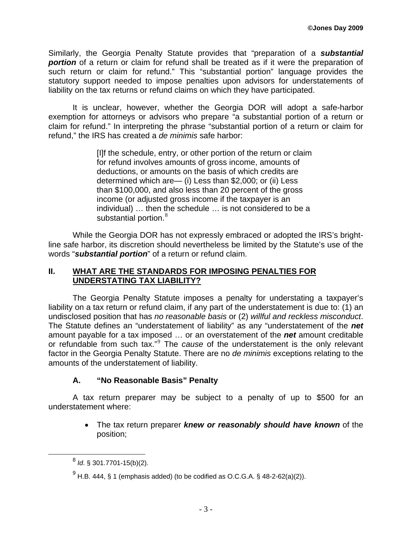Similarly, the Georgia Penalty Statute provides that "preparation of a *substantial portion* of a return or claim for refund shall be treated as if it were the preparation of such return or claim for refund." This "substantial portion" language provides the statutory support needed to impose penalties upon advisors for understatements of liability on the tax returns or refund claims on which they have participated.

It is unclear, however, whether the Georgia DOR will adopt a safe-harbor exemption for attorneys or advisors who prepare "a substantial portion of a return or claim for refund." In interpreting the phrase "substantial portion of a return or claim for refund," the IRS has created a *de minimis* safe harbor:

> [I]f the schedule, entry, or other portion of the return or claim for refund involves amounts of gross income, amounts of deductions, or amounts on the basis of which credits are determined which are— (i) Less than \$2,000; or (ii) Less than \$100,000, and also less than 20 percent of the gross income (or adjusted gross income if the taxpayer is an individual) … then the schedule … is not considered to be a substantial portion.<sup>[8](#page-2-0)</sup>

While the Georgia DOR has not expressly embraced or adopted the IRS's brightline safe harbor, its discretion should nevertheless be limited by the Statute's use of the words "*substantial portion*" of a return or refund claim.

### **II. WHAT ARE THE STANDARDS FOR IMPOSING PENALTIES FOR UNDERSTATING TAX LIABILITY?**

The Georgia Penalty Statute imposes a penalty for understating a taxpayer's liability on a tax return or refund claim, if any part of the understatement is due to: (1) an undisclosed position that has *no reasonable basis* or (2) *willful and reckless misconduct*. The Statute defines an "understatement of liability" as any "understatement of the *net* amount payable for a tax imposed … or an overstatement of the *net* amount creditable or refundable from such tax."[9](#page-2-1) The *cause* of the understatement is the only relevant factor in the Georgia Penalty Statute. There are no *de minimis* exceptions relating to the amounts of the understatement of liability.

# **A. "No Reasonable Basis" Penalty**

A tax return preparer may be subject to a penalty of up to \$500 for an understatement where:

> • The tax return preparer *knew or reasonably should have known* of the position;

<span id="page-2-0"></span><sup>8</sup> *Id*. § 301.7701-15(b)(2).

<span id="page-2-1"></span> $^{9}$  H.B. 444, § 1 (emphasis added) (to be codified as O.C.G.A. § 48-2-62(a)(2)).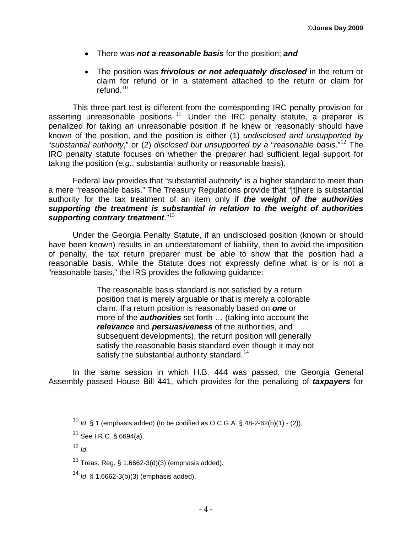- There was *not a reasonable basis* for the position; *and*
- The position was *frivolous or not adequately disclosed* in the return or claim for refund or in a statement attached to the return or claim for refund. $10$

This three-part test is different from the corresponding IRC penalty provision for asserting unreasonable positions.  $11$  Under the IRC penalty statute, a preparer is penalized for taking an unreasonable position if he knew or reasonably should have known of the position, and the position is either (1) *undisclosed and unsupported by*  "*substantial authority*," or (2) *disclosed but unsupported by a* "*reasonable basis*."[12](#page-3-2) The IRC penalty statute focuses on whether the preparer had sufficient legal support for taking the position (*e.g.*, substantial authority or reasonable basis).

Federal law provides that "substantial authority" is a higher standard to meet than a mere "reasonable basis." The Treasury Regulations provide that "[t]here is substantial authority for the tax treatment of an item only if *the weight of the authorities supporting the treatment is substantial in relation to the weight of authorities supporting contrary treatment*."[13](#page-3-3)

Under the Georgia Penalty Statute, if an undisclosed position (known or should have been known) results in an understatement of liability, then to avoid the imposition of penalty, the tax return preparer must be able to show that the position had a reasonable basis. While the Statute does not expressly define what is or is not a "reasonable basis," the IRS provides the following guidance:

> The reasonable basis standard is not satisfied by a return position that is merely arguable or that is merely a colorable claim. If a return position is reasonably based on *one* or more of the *authorities* set forth … (taking into account the *relevance* and *persuasiveness* of the authorities, and subsequent developments), the return position will generally satisfy the reasonable basis standard even though it may not satisfy the substantial authority standard.<sup>[14](#page-3-4)</sup>

<span id="page-3-0"></span>In the same session in which H.B. 444 was passed, the Georgia General Assembly passed House Bill 441, which provides for the penalizing of *taxpayers* for

<sup>10</sup> *Id*. § 1 (emphasis added) (to be codified as O.C.G.A. § 48-2-62(b)(1) - (2)).

<span id="page-3-1"></span><sup>11</sup> *See* I.R.C. § 6694(a).

<span id="page-3-2"></span><sup>12</sup> *Id*.

<span id="page-3-3"></span><sup>&</sup>lt;sup>13</sup> Treas. Reg. § 1.6662-3(d)(3) (emphasis added).

<span id="page-3-4"></span><sup>14</sup> *Id*. § 1.6662-3(b)(3) (emphasis added).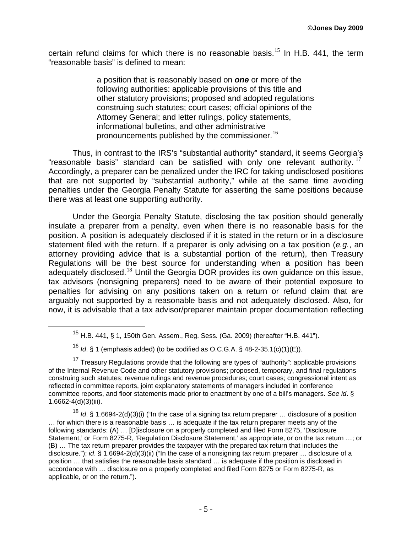certain refund claims for which there is no reasonable basis.<sup>[15](#page-4-0)</sup> In H.B. 441, the term "reasonable basis" is defined to mean:

> a position that is reasonably based on *one* or more of the following authorities: applicable provisions of this title and other statutory provisions; proposed and adopted regulations construing such statutes; court cases; official opinions of the Attorney General; and letter rulings, policy statements, informational bulletins, and other administrative pronouncements published by the commissioner.<sup>[16](#page-4-1)</sup>

Thus, in contrast to the IRS's "substantial authority" standard, it seems Georgia's "reasonable basis" standard can be satisfied with only one relevant authority.  $17$ Accordingly, a preparer can be penalized under the IRC for taking undisclosed positions that are not supported by "substantial authority," while at the same time avoiding penalties under the Georgia Penalty Statute for asserting the same positions because there was at least one supporting authority.

Under the Georgia Penalty Statute, disclosing the tax position should generally insulate a preparer from a penalty, even when there is no reasonable basis for the position. A position is adequately disclosed if it is stated in the return or in a disclosure statement filed with the return. If a preparer is only advising on a tax position (*e.g.*, an attorney providing advice that is a substantial portion of the return), then Treasury Regulations will be the best source for understanding when a position has been adequately disclosed.<sup>[18](#page-4-3)</sup> Until the Georgia DOR provides its own guidance on this issue, tax advisors (nonsigning preparers) need to be aware of their potential exposure to penalties for advising on any positions taken on a return or refund claim that are arguably not supported by a reasonable basis and not adequately disclosed. Also, for now, it is advisable that a tax advisor/preparer maintain proper documentation reflecting

<sup>&</sup>lt;sup>15</sup> H.B. 441, § 1, 150th Gen. Assem., Reg. Sess. (Ga. 2009) (hereafter "H.B. 441").

<sup>16</sup> *Id*. § 1 (emphasis added) (to be codified as O.C.G.A. § 48-2-35.1(c)(1)(E)).

<span id="page-4-2"></span><span id="page-4-1"></span><span id="page-4-0"></span><sup>&</sup>lt;sup>17</sup> Treasury Regulations provide that the following are types of "authority": applicable provisions of the Internal Revenue Code and other statutory provisions; proposed, temporary, and final regulations construing such statutes; revenue rulings and revenue procedures; court cases; congressional intent as reflected in committee reports, joint explanatory statements of managers included in conference committee reports, and floor statements made prior to enactment by one of a bill's managers. *See id*. § 1.6662-4(d)(3)(iii).

<span id="page-4-3"></span><sup>18</sup> *Id*. § 1.6694-2(d)(3)(i) ("In the case of a signing tax return preparer … disclosure of a position … for which there is a reasonable basis … is adequate if the tax return preparer meets any of the following standards: (A) … [D]isclosure on a properly completed and filed Form 8275, 'Disclosure Statement,' or Form 8275-R, 'Regulation Disclosure Statement,' as appropriate, or on the tax return …; or (B) … The tax return preparer provides the taxpayer with the prepared tax return that includes the disclosure."); *id*. § 1.6694-2(d)(3)(ii) ("In the case of a nonsigning tax return preparer … disclosure of a position … that satisfies the reasonable basis standard … is adequate if the position is disclosed in accordance with … disclosure on a properly completed and filed Form 8275 or Form 8275-R, as applicable, or on the return.").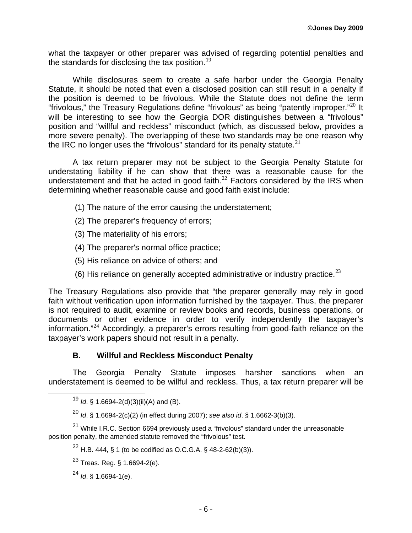what the taxpayer or other preparer was advised of regarding potential penalties and the standards for disclosing the tax position.<sup>[19](#page-5-0)</sup>

While disclosures seem to create a safe harbor under the Georgia Penalty Statute, it should be noted that even a disclosed position can still result in a penalty if the position is deemed to be frivolous. While the Statute does not define the term "frivolous," the Treasury Regulations define "frivolous" as being "patently improper. $"^{20}$  $"^{20}$  $"^{20}$  It will be interesting to see how the Georgia DOR distinguishes between a "frivolous" position and "willful and reckless" misconduct (which, as discussed below, provides a more severe penalty). The overlapping of these two standards may be one reason why the IRC no longer uses the "frivolous" standard for its penalty statute. $21$ 

A tax return preparer may not be subject to the Georgia Penalty Statute for understating liability if he can show that there was a reasonable cause for the understatement and that he acted in good faith. $^{22}$  $^{22}$  $^{22}$  Factors considered by the IRS when determining whether reasonable cause and good faith exist include:

- (1) The nature of the error causing the understatement;
- (2) The preparer's frequency of errors;
- (3) The materiality of his errors;
- (4) The preparer's normal office practice;
- (5) His reliance on advice of others; and
- (6) His reliance on generally accepted administrative or industry practice. $^{23}$  $^{23}$  $^{23}$

The Treasury Regulations also provide that "the preparer generally may rely in good faith without verification upon information furnished by the taxpayer. Thus, the preparer is not required to audit, examine or review books and records, business operations, or documents or other evidence in order to verify independently the taxpayer's information."[24](#page-5-5) Accordingly, a preparer's errors resulting from good-faith reliance on the taxpayer's work papers should not result in a penalty.

#### **B. Willful and Reckless Misconduct Penalty**

The Georgia Penalty Statute imposes harsher sanctions when an understatement is deemed to be willful and reckless. Thus, a tax return preparer will be

<sup>19</sup> *Id*. § 1.6694-2(d)(3)(ii)(A) and (B).

<sup>20</sup> *Id*. § 1.6694-2(c)(2) (in effect during 2007); *see also id*. § 1.6662-3(b)(3).

<span id="page-5-5"></span><span id="page-5-4"></span><span id="page-5-3"></span><span id="page-5-2"></span><span id="page-5-1"></span><span id="page-5-0"></span><sup>&</sup>lt;sup>21</sup> While I.R.C. Section 6694 previously used a "frivolous" standard under the unreasonable position penalty, the amended statute removed the "frivolous" test.

<sup>&</sup>lt;sup>22</sup> H.B. 444, § 1 (to be codified as O.C.G.A. § 48-2-62(b)(3)).

 $^{23}$  Treas. Reg. § 1.6694-2(e).

<sup>24</sup> *Id*. § 1.6694-1(e).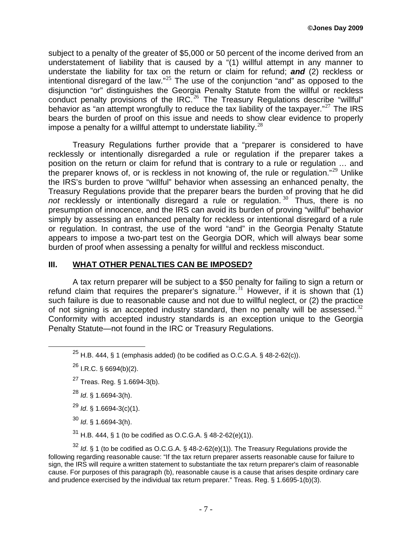subject to a penalty of the greater of \$5,000 or 50 percent of the income derived from an understatement of liability that is caused by a "(1) willful attempt in any manner to understate the liability for tax on the return or claim for refund; *and* (2) reckless or intentional disregard of the law."<sup>[25](#page-6-0)</sup> The use of the conjunction "and" as opposed to the disjunction "or" distinguishes the Georgia Penalty Statute from the willful or reckless conduct penalty provisions of the IRC.<sup>[26](#page-6-1)</sup> The Treasury Regulations describe "willful" behavior as "an attempt wrongfully to reduce the tax liability of the taxpayer."<sup>[27](#page-6-2)</sup> The IRS bears the burden of proof on this issue and needs to show clear evidence to properly impose a penalty for a willful attempt to understate liability. $^{28}$  $^{28}$  $^{28}$ 

Treasury Regulations further provide that a "preparer is considered to have recklessly or intentionally disregarded a rule or regulation if the preparer takes a position on the return or claim for refund that is contrary to a rule or regulation … and the preparer knows of, or is reckless in not knowing of, the rule or regulation."<sup>[29](#page-6-4)</sup> Unlike the IRS's burden to prove "willful" behavior when assessing an enhanced penalty, the Treasury Regulations provide that the preparer bears the burden of proving that he did *not* recklessly or intentionally disregard a rule or regulation.<sup>[30](#page-6-5)</sup> Thus, there is no presumption of innocence, and the IRS can avoid its burden of proving "willful" behavior simply by assessing an enhanced penalty for reckless or intentional disregard of a rule or regulation. In contrast, the use of the word "and" in the Georgia Penalty Statute appears to impose a two-part test on the Georgia DOR, which will always bear some burden of proof when assessing a penalty for willful and reckless misconduct.

#### **III. WHAT OTHER PENALTIES CAN BE IMPOSED?**

A tax return preparer will be subject to a \$50 penalty for failing to sign a return or refund claim that requires the preparer's signature.<sup>[31](#page-6-6)</sup> However, if it is shown that (1) such failure is due to reasonable cause and not due to willful neglect, or (2) the practice of not signing is an accepted industry standard, then no penalty will be assessed. $32$ Conformity with accepted industry standards is an exception unique to the Georgia Penalty Statute—not found in the IRC or Treasury Regulations.

- <sup>28</sup> *Id*. § 1.6694-3(h).
- <sup>29</sup> *Id*. § 1.6694-3(c)(1).
- <sup>30</sup> *Id*. § 1.6694-3(h).

 $31$  H.B. 444, § 1 (to be codified as O.C.G.A. § 48-2-62(e)(1)).

<span id="page-6-7"></span><span id="page-6-6"></span><span id="page-6-5"></span><span id="page-6-4"></span><span id="page-6-3"></span><sup>32</sup> *Id*. § 1 (to be codified as O.C.G.A. § 48-2-62(e)(1)). The Treasury Regulations provide the following regarding reasonable cause: "If the tax return preparer asserts reasonable cause for failure to sign, the IRS will require a written statement to substantiate the tax return preparer's claim of reasonable cause. For purposes of this paragraph (b), reasonable cause is a cause that arises despite ordinary care and prudence exercised by the individual tax return preparer." Treas. Reg. § 1.6695-1(b)(3).

<span id="page-6-0"></span><sup>&</sup>lt;sup>25</sup> H.B. 444, § 1 (emphasis added) (to be codified as O.C.G.A. § 48-2-62(c)).

<span id="page-6-1"></span> $^{26}$  I.R.C. § 6694(b)(2).

<span id="page-6-2"></span><sup>27</sup> Treas. Reg. § 1.6694-3(b).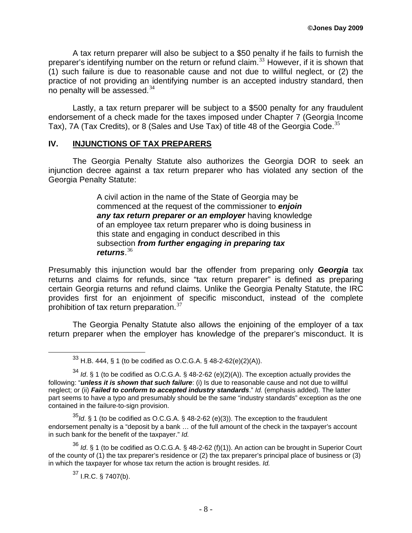A tax return preparer will also be subject to a \$50 penalty if he fails to furnish the preparer's identifying number on the return or refund claim.<sup>[33](#page-7-0)</sup> However, if it is shown that (1) such failure is due to reasonable cause and not due to willful neglect, or (2) the practice of not providing an identifying number is an accepted industry standard, then no penalty will be assessed. $34$ 

Lastly, a tax return preparer will be subject to a \$500 penalty for any fraudulent endorsement of a check made for the taxes imposed under Chapter 7 (Georgia Income Tax), 7A (Tax Credits), or 8 (Sales and Use Tax) of title 48 of the Georgia Code.<sup>[35](#page-7-2)</sup>

#### **IV. INJUNCTIONS OF TAX PREPARERS**

The Georgia Penalty Statute also authorizes the Georgia DOR to seek an injunction decree against a tax return preparer who has violated any section of the Georgia Penalty Statute:

> A civil action in the name of the State of Georgia may be commenced at the request of the commissioner to *enjoin any tax return preparer or an employer* having knowledge of an employee tax return preparer who is doing business in this state and engaging in conduct described in this subsection *from further engaging in preparing tax returns*. [36](#page-7-3)

Presumably this injunction would bar the offender from preparing only *Georgia* tax returns and claims for refunds, since "tax return preparer" is defined as preparing certain Georgia returns and refund claims. Unlike the Georgia Penalty Statute, the IRC provides first for an enjoinment of specific misconduct, instead of the complete prohibition of tax return preparation.<sup>[37](#page-7-4)</sup>

The Georgia Penalty Statute also allows the enjoining of the employer of a tax return preparer when the employer has knowledge of the preparer's misconduct. It is

<span id="page-7-2"></span><sup>35</sup>*Id*. § 1 (to be codified as O.C.G.A. § 48-2-62 (e)(3)). The exception to the fraudulent endorsement penalty is a "deposit by a bank … of the full amount of the check in the taxpayer's account in such bank for the benefit of the taxpayer." *Id.*

<span id="page-7-4"></span><span id="page-7-3"></span><sup>36</sup> *Id*. § 1 (to be codified as O.C.G.A. § 48-2-62 (f)(1)). An action can be brought in Superior Court of the county of (1) the tax preparer's residence or (2) the tax preparer's principal place of business or (3) in which the taxpayer for whose tax return the action is brought resides. *Id.*

 $37$  I.R.C. § 7407(b).

 $33$  H.B. 444, § 1 (to be codified as O.C.G.A. § 48-2-62(e)(2)(A)).

<span id="page-7-1"></span><span id="page-7-0"></span><sup>34</sup> *Id*. § 1 (to be codified as O.C.G.A. § 48-2-62 (e)(2)(A)). The exception actually provides the following: "*unless it is shown that such failure*: (i) Is due to reasonable cause and not due to willful neglect; or (ii) *Failed to conform to accepted industry standards*." *Id.* (emphasis added). The latter part seems to have a typo and presumably should be the same "industry standards" exception as the one contained in the failure-to-sign provision.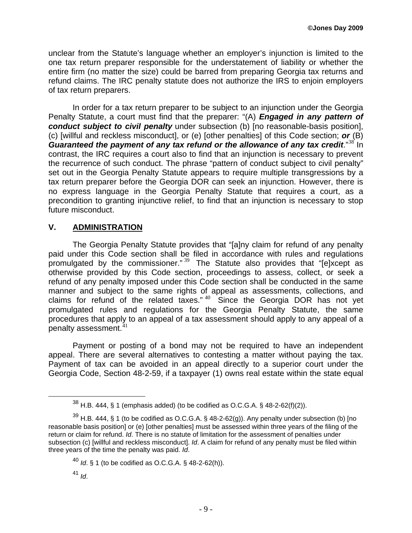unclear from the Statute's language whether an employer's injunction is limited to the one tax return preparer responsible for the understatement of liability or whether the entire firm (no matter the size) could be barred from preparing Georgia tax returns and refund claims. The IRC penalty statute does not authorize the IRS to enjoin employers of tax return preparers.

In order for a tax return preparer to be subject to an injunction under the Georgia Penalty Statute, a court must find that the preparer: "(A) *Engaged in any pattern of conduct subject to civil penalty* under subsection (b) [no reasonable-basis position], (c) [willful and reckless misconduct], or (e) [other penalties] of this Code section; *or* (B) *Guaranteed the payment of any tax refund or the allowance of any tax credit.***"<sup>[38](#page-8-0)</sup> In** contrast, the IRC requires a court also to find that an injunction is necessary to prevent the recurrence of such conduct. The phrase "pattern of conduct subject to civil penalty" set out in the Georgia Penalty Statute appears to require multiple transgressions by a tax return preparer before the Georgia DOR can seek an injunction. However, there is no express language in the Georgia Penalty Statute that requires a court, as a precondition to granting injunctive relief, to find that an injunction is necessary to stop future misconduct.

# **V. ADMINISTRATION**

The Georgia Penalty Statute provides that "[a]ny claim for refund of any penalty paid under this Code section shall be filed in accordance with rules and regulations promulgated by the commissioner."  $39$  The Statute also provides that "[e]xcept as otherwise provided by this Code section, proceedings to assess, collect, or seek a refund of any penalty imposed under this Code section shall be conducted in the same manner and subject to the same rights of appeal as assessments, collections, and claims for refund of the related taxes." [40](#page-8-2) Since the Georgia DOR has not yet promulgated rules and regulations for the Georgia Penalty Statute, the same procedures that apply to an appeal of a tax assessment should apply to any appeal of a penalty assessment. $41$ 

Payment or posting of a bond may not be required to have an independent appeal. There are several alternatives to contesting a matter without paying the tax. Payment of tax can be avoided in an appeal directly to a superior court under the Georgia Code, Section 48-2-59, if a taxpayer (1) owns real estate within the state equal

 $38$  H.B. 444, § 1 (emphasis added) (to be codified as O.C.G.A. § 48-2-62(f)(2)).

<span id="page-8-2"></span><span id="page-8-1"></span><span id="page-8-0"></span> $^{39}$  H.B. 444, § 1 (to be codified as O.C.G.A. § 48-2-62(g)). Any penalty under subsection (b) [no reasonable basis position] or (e) [other penalties] must be assessed within three years of the filing of the return or claim for refund. *Id*. There is no statute of limitation for the assessment of penalties under subsection (c) [willful and reckless misconduct]. *Id*. A claim for refund of any penalty must be filed within three years of the time the penalty was paid. *Id*.

<sup>40</sup> *Id*. § 1 (to be codified as O.C.G.A. § 48-2-62(h)).

<span id="page-8-3"></span><sup>41</sup> *Id*.